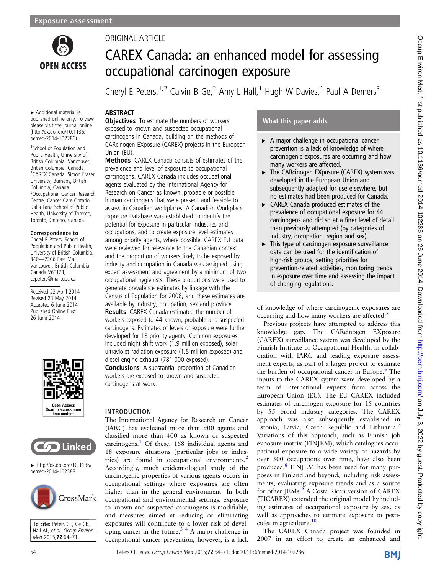

▸ Additional material is published online only. To view please visit the journal online [\(http://dx.doi.org/10.1136/](http://dx.doi.org/10.1136/oemed-2014-102286) [oemed-2014-102286](http://dx.doi.org/10.1136/oemed-2014-102286)).

<sup>1</sup>School of Population and Public Health, University of British Columbia, Vancouver, British Columbia, Canada 2 CAREX Canada, Simon Fraser University, Burnaby, British Columbia, Canada <sup>3</sup> Occupational Cancer Research Centre, Cancer Care Ontario, Dalla Lana School of Public Health, University of Toronto, Toronto, Ontario, Canada

#### Correspondence to

Cheryl E Peters, School of Population and Public Health, University of British Columbia, 340—2206 East Mall, Vancouver, British Columbia, Canada V6T1Z3; cepeters@mail.ubc.ca

Received 23 April 2014 Revised 23 May 2014 Accepted 6 June 2014 Published Online First 26 June 2014





▸ [http://dx.doi.org/10.1136/](http://dx.doi.org/10.1136/oemed-2014-102388) [oemed-2014-102388](http://dx.doi.org/10.1136/oemed-2014-102388)



To cite: Peters CE, Ge CB, Hall AL, et al. Occup Environ Med 2015;72:64-71.

## ORIGINAL ARTICLE

# CAREX Canada: an enhanced model for assessing occupational carcinogen exposure

Cheryl E Peters,  $1,2$  Calvin B Ge, <sup>2</sup> Amy L Hall, <sup>1</sup> Hugh W Davies, <sup>1</sup> Paul A Demers<sup>3</sup>

## ABSTRACT

**Objectives** To estimate the numbers of workers exposed to known and suspected occupational carcinogens in Canada, building on the methods of CARcinogen EXposure (CAREX) projects in the European Union (EU).

Methods CAREX Canada consists of estimates of the prevalence and level of exposure to occupational carcinogens. CAREX Canada includes occupational agents evaluated by the International Agency for Research on Cancer as known, probable or possible human carcinogens that were present and feasible to assess in Canadian workplaces. A Canadian Workplace Exposure Database was established to identify the potential for exposure in particular industries and occupations, and to create exposure level estimates among priority agents, where possible. CAREX EU data were reviewed for relevance to the Canadian context and the proportion of workers likely to be exposed by industry and occupation in Canada was assigned using expert assessment and agreement by a minimum of two occupational hygienists. These proportions were used to generate prevalence estimates by linkage with the Census of Population for 2006, and these estimates are available by industry, occupation, sex and province. Results CAREX Canada estimated the number of workers exposed to 44 known, probable and suspected carcinogens. Estimates of levels of exposure were further developed for 18 priority agents. Common exposures included night shift work (1.9 million exposed), solar ultraviolet radiation exposure (1.5 million exposed) and diesel engine exhaust (781 000 exposed). Conclusions A substantial proportion of Canadian workers are exposed to known and suspected

carcinogens at work.

#### INTRODUCTION

The International Agency for Research on Cancer (IARC) has evaluated more than 900 agents and classified more than 400 as known or suspected carcinogens.[1](#page-7-0) Of these, 168 individual agents and 18 exposure situations (particular jobs or indus-tries) are found in occupational environments.<sup>[2](#page-7-0)</sup> Accordingly, much epidemiological study of the carcinogenic properties of various agents occurs in occupational settings where exposures are often higher than in the general environment. In both occupational and environmental settings, exposure to known and suspected carcinogens is modifiable, and measures aimed at reducing or eliminating exposures will contribute to a lower risk of developing cancer in the future.<sup>3</sup>  $\frac{4}{3}$  A major challenge in occupational cancer prevention, however, is a lack

## What this paper adds

- ▶ A major challenge in occupational cancer prevention is a lack of knowledge of where carcinogenic exposures are occurring and how many workers are affected.
- ▸ The CARcinogen EXposure (CAREX) system was developed in the European Union and subsequently adapted for use elsewhere, but no estimates had been produced for Canada.
- ▸ CAREX Canada produced estimates of the prevalence of occupational exposure for 44 carcinogens and did so at a finer level of detail than previously attempted (by categories of industry, occupation, region and sex).
- ▸ This type of carcinogen exposure surveillance data can be used for the identification of high-risk groups, setting priorities for prevention-related activities, monitoring trends in exposure over time and assessing the impact of changing regulations.

of knowledge of where carcinogenic exposures are occurring and how many workers are affected.<sup>[5](#page-7-0)</sup>

Previous projects have attempted to address this knowledge gap. The CARcinogen EXposure (CAREX) surveillance system was developed by the Finnish Institute of Occupational Health, in collaboration with IARC and leading exposure assessment experts, as part of a larger project to estimate the burden of occupational cancer in Europe.<sup>6</sup> The inputs to the CAREX system were developed by a team of international experts from across the European Union (EU). The EU CAREX included estimates of carcinogen exposure for 15 countries by 55 broad industry categories. The CAREX approach was also subsequently established in Estonia, Latvia, Czech Republic and Lithuania.<sup>[7](#page-7-0)</sup> Variations of this approach, such as Finnish job exposure matrix (FINJEM), which catalogues occupational exposure to a wide variety of hazards by over 300 occupations over time, have also been produced.[8](#page-7-0) FINJEM has been used for many purposes in Finland and beyond, including risk assessments, evaluating exposure trends and as a source for other JEMs.<sup>9</sup> A Costa Rican version of CAREX (TICAREX) extended the original model by including estimates of occupational exposure by sex, as well as approaches to estimate exposure to pesticides in agriculture. $10$ 

The CAREX Canada project was founded in 2007 in an effort to create an enhanced and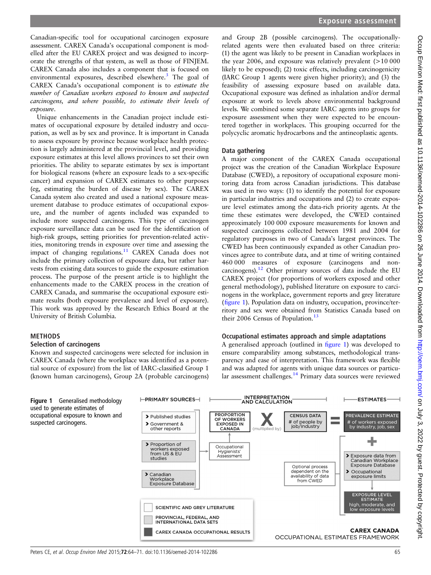Canadian-specific tool for occupational carcinogen exposure assessment. CAREX Canada's occupational component is modelled after the EU CAREX project and was designed to incorporate the strengths of that system, as well as those of FINJEM. CAREX Canada also includes a component that is focused on environmental exposures, described elsewhere.<sup>[3](#page-7-0)</sup> The goal of CAREX Canada's occupational component is to estimate the number of Canadian workers exposed to known and suspected carcinogens, and where possible, to estimate their levels of exposure.

Unique enhancements in the Canadian project include estimates of occupational exposure by detailed industry and occupation, as well as by sex and province. It is important in Canada to assess exposure by province because workplace health protection is largely administered at the provincial level, and providing exposure estimates at this level allows provinces to set their own priorities. The ability to separate estimates by sex is important for biological reasons (where an exposure leads to a sex-specific cancer) and expansion of CAREX estimates to other purposes (eg, estimating the burden of disease by sex). The CAREX Canada system also created and used a national exposure measurement database to produce estimates of occupational exposure, and the number of agents included was expanded to include more suspected carcinogens. This type of carcinogen exposure surveillance data can be used for the identification of high-risk groups, setting priorities for prevention-related activities, monitoring trends in exposure over time and assessing the impact of changing regulations.<sup>[11](#page-7-0)</sup> CAREX Canada does not include the primary collection of exposure data, but rather harvests from existing data sources to guide the exposure estimation process. The purpose of the present article is to highlight the enhancements made to the CAREX process in the creation of CAREX Canada, and summarise the occupational exposure estimate results (both exposure prevalence and level of exposure). This work was approved by the Research Ethics Board at the University of British Columbia.

### METHODS

#### Selection of carcinogens

Known and suspected carcinogens were selected for inclusion in CAREX Canada (where the workplace was identified as a potential source of exposure) from the list of IARC-classified Group 1 (known human carcinogens), Group 2A (probable carcinogens)

and Group 2B (possible carcinogens). The occupationallyrelated agents were then evaluated based on three criteria: (1) the agent was likely to be present in Canadian workplaces in the year 2006, and exposure was relatively prevalent  $(>10000$ likely to be exposed); (2) toxic effects, including carcinogenicity (IARC Group 1 agents were given higher priority); and (3) the feasibility of assessing exposure based on available data. Occupational exposure was defined as inhalation and/or dermal exposure at work to levels above environmental background levels. We combined some separate IARC agents into groups for exposure assessment when they were expected to be encountered together in workplaces. This grouping occurred for the polycyclic aromatic hydrocarbons and the antineoplastic agents.

#### Data gathering

A major component of the CAREX Canada occupational project was the creation of the Canadian Workplace Exposure Database (CWED), a repository of occupational exposure monitoring data from across Canadian jurisdictions. This database was used in two ways: (1) to identify the potential for exposure in particular industries and occupations and (2) to create exposure level estimates among the data-rich priority agents. At the time these estimates were developed, the CWED contained approximately 100 000 exposure measurements for known and suspected carcinogens collected between 1981 and 2004 for regulatory purposes in two of Canada's largest provinces. The CWED has been continuously expanded as other Canadian provinces agree to contribute data, and at time of writing contained 460 000 measures of exposure (carcinogens and noncarcinogens).<sup>12</sup> Other primary sources of data include the EU CAREX project (for proportions of workers exposed and other general methodology), published literature on exposure to carcinogens in the workplace, government reports and grey literature (figure 1). Population data on industry, occupation, province/territory and sex were obtained from Statistics Canada based on their 2006 Census of Population.<sup>13</sup>

#### Occupational estimates approach and simple adaptations

A generalised approach (outlined in figure 1) was developed to ensure comparability among substances, methodological transparency and ease of interpretation. This framework was flexible and was adapted for agents with unique data sources or particu-lar assessment challenges.<sup>[14](#page-7-0)</sup> Primary data sources were reviewed

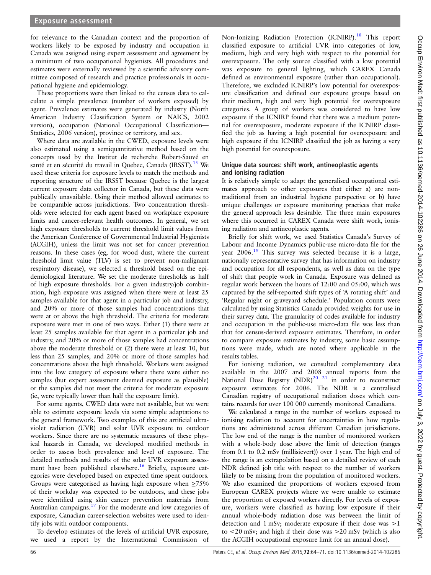for relevance to the Canadian context and the proportion of workers likely to be exposed by industry and occupation in Canada was assigned using expert assessment and agreement by a minimum of two occupational hygienists. All procedures and estimates were externally reviewed by a scientific advisory committee composed of research and practice professionals in occupational hygiene and epidemiology.

These proportions were then linked to the census data to calculate a simple prevalence (number of workers exposed) by agent. Prevalence estimates were generated by industry (North American Industry Classification System or NAICS, 2002 version), occupation (National Occupational Classification— Statistics, 2006 version), province or territory, and sex.

Where data are available in the CWED, exposure levels were also estimated using a semiquantitative method based on the concepts used by the Institut de recherche Robert-Sauvé en santé et en sécurité du travail in Quebec, Canada (IRSST).<sup>[15](#page-7-0)</sup> We used these criteria for exposure levels to match the methods and reporting structure of the IRSST because Quebec is the largest current exposure data collector in Canada, but these data were publically unavailable. Using their method allowed estimates to be comparable across jurisdictions. Two concentration thresholds were selected for each agent based on workplace exposure limits and cancer-relevant health outcomes. In general, we set high exposure thresholds to current threshold limit values from the American Conference of Governmental Industrial Hygienists (ACGIH), unless the limit was not set for cancer prevention reasons. In these cases (eg, for wood dust, where the current threshold limit value (TLV) is set to prevent non-malignant respiratory disease), we selected a threshold based on the epidemiological literature. We set the moderate thresholds as half of high exposure thresholds. For a given industry/job combination, high exposure was assigned when there were at least 25 samples available for that agent in a particular job and industry, and 20% or more of those samples had concentrations that were at or above the high threshold. The criteria for moderate exposure were met in one of two ways. Either (1) there were at least 25 samples available for that agent in a particular job and industry, and 20% or more of those samples had concentrations above the moderate threshold or (2) there were at least 10, but less than 25 samples, and 20% or more of those samples had concentrations above the high threshold. Workers were assigned into the low category of exposure where there were either no samples (but expert assessment deemed exposure as plausible) or the samples did not meet the criteria for moderate exposure (ie, were typically lower than half the exposure limit).

For some agents, CWED data were not available, but we were able to estimate exposure levels via some simple adaptations to the general framework. Two examples of this are artificial ultraviolet radiation (UVR) and solar UVR exposure to outdoor workers. Since there are no systematic measures of these physical hazards in Canada, we developed modified methods in order to assess both prevalence and level of exposure. The detailed methods and results of the solar UVR exposure assessment have been published elsewhere.<sup>16</sup> Briefly, exposure categories were developed based on expected time spent outdoors. Groups were categorised as having high exposure when  $\geq 75\%$ of their workday was expected to be outdoors, and these jobs were identified using skin cancer prevention materials from Australian campaigns.<sup>[17](#page-7-0)</sup> For the moderate and low categories of exposure, Canadian career-selection websites were used to identify jobs with outdoor components.

To develop estimates of the levels of artificial UVR exposure, we used a report by the International Commission of Non-Ionizing Radiation Protection (ICNIRP).<sup>[18](#page-7-0)</sup> This report classified exposure to artificial UVR into categories of low, medium, high and very high with respect to the potential for overexposure. The only source classified with a low potential was exposure to general lighting, which CAREX Canada defined as environmental exposure (rather than occupational). Therefore, we excluded ICNIRP's low potential for overexposure classification and defined our exposure groups based on their medium, high and very high potential for overexposure categories. A group of workers was considered to have low exposure if the ICNIRP found that there was a medium potential for overexposure, moderate exposure if the ICNIRP classified the job as having a high potential for overexposure and high exposure if the ICNIRP classified the job as having a very high potential for overexposure.

#### Unique data sources: shift work, antineoplastic agents and ionising radiation

It is relatively simple to adapt the generalised occupational estimates approach to other exposures that either a) are nontraditional from an industrial hygiene perspective or b) have unique challenges or exposure monitoring practices that make the general approach less desirable. The three main exposures where this occurred in CAREX Canada were shift work, ionising radiation and antineoplastic agents.

Briefly for shift work, we used Statistics Canada's Survey of Labour and Income Dynamics public-use micro-data file for the year 2006.[19](#page-7-0) This survey was selected because it is a large, nationally representative survey that has information on industry and occupation for all respondents, as well as data on the type of shift that people work in Canada. Exposure was defined as regular work between the hours of 12:00 and 05:00, which was captured by the self-reported shift types of 'A rotating shift' and 'Regular night or graveyard schedule.' Population counts were calculated by using Statistics Canada provided weights for use in their survey data. The granularity of codes available for industry and occupation in the public-use micro-data file was less than that for census-derived exposure estimates. Therefore, in order to compare exposure estimates by industry, some basic assumptions were made, which are noted where applicable in the results tables.

For ionising radiation, we consulted complementary data available in the 2007 and 2008 annual reports from the National Dose Registry  $(NDR)^{20}$ <sup>21</sup> in order to reconstruct exposure estimates for 2006. The NDR is a centralised Canadian registry of occupational radiation doses which contains records for over 100 000 currently monitored Canadians.

We calculated a range in the number of workers exposed to ionising radiation to account for uncertainties in how regulations are administered across different Canadian jurisdictions. The low end of the range is the number of monitored workers with a whole-body dose above the limit of detection (ranges from 0.1 to 0.2 mSv (millisievert)) over 1 year. The high end of the range is an extrapolation based on a detailed review of each NDR defined job title with respect to the number of workers likely to be missing from the population of monitored workers. We also examined the proportions of workers exposed from European CAREX projects where we were unable to estimate the proportion of exposed workers directly. For levels of exposure, workers were classified as having low exposure if their annual whole-body radiation dose was between the limit of detection and 1 mSv; moderate exposure if their dose was >1 to <20 mSv; and high if their dose was >20 mSv (which is also the ACGIH occupational exposure limit for an annual dose).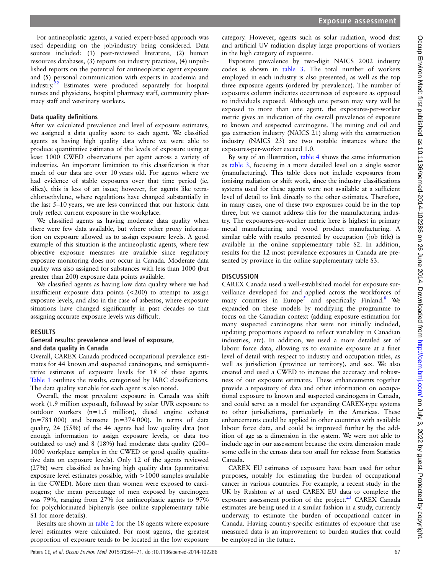For antineoplastic agents, a varied expert-based approach was used depending on the job/industry being considered. Data sources included: (1) peer-reviewed literature, (2) human resources databases, (3) reports on industry practices, (4) unpublished reports on the potential for antineoplastic agent exposure and (5) personal communication with experts in academia and industry.<sup>[22](#page-7-0)</sup> Estimates were produced separately for hospital nurses and physicians, hospital pharmacy staff, community pharmacy staff and veterinary workers.

#### Data quality definitions

After we calculated prevalence and level of exposure estimates, we assigned a data quality score to each agent. We classified agents as having high quality data where we were able to produce quantitative estimates of the levels of exposure using at least 1000 CWED observations per agent across a variety of industries. An important limitation to this classification is that much of our data are over 10 years old. For agents where we had evidence of stable exposures over that time period (ie, silica), this is less of an issue; however, for agents like tetrachloroethylene, where regulations have changed substantially in the last 5–10 years, we are less convinced that our historic data truly reflect current exposure in the workplace.

We classified agents as having moderate data quality when there were few data available, but where other proxy information on exposure allowed us to assign exposure levels. A good example of this situation is the antineoplastic agents, where few objective exposure measures are available since regulatory exposure monitoring does not occur in Canada. Moderate data quality was also assigned for substances with less than 1000 (but greater than 200) exposure data points available.

We classified agents as having low data quality where we had insufficient exposure data points (<200) to attempt to assign exposure levels, and also in the case of asbestos, where exposure situations have changed significantly in past decades so that assigning accurate exposure levels was difficult.

#### **RESULTS**

#### General results: prevalence and level of exposure, and data quality in Canada

Overall, CAREX Canada produced occupational prevalence estimates for 44 known and suspected carcinogens, and semiquantitative estimates of exposure levels for 18 of these agents. [Table 1](#page-4-0) outlines the results, categorised by IARC classifications. The data quality variable for each agent is also noted.

Overall, the most prevalent exposure in Canada was shift work (1.9 million exposed), followed by solar UVR exposure to outdoor workers (n=1.5 million), diesel engine exhaust  $(n=781 000)$  and benzene  $(n=374 000)$ . In terms of data quality, 24 (55%) of the 44 agents had low quality data (not enough information to assign exposure levels, or data too outdated to use) and 8 (18%) had moderate data quality (200– 1000 workplace samples in the CWED or good quality qualitative data on exposure levels). Only 12 of the agents reviewed (27%) were classified as having high quality data (quantitative exposure level estimates possible, with >1000 samples available in the CWED). More men than women were exposed to carcinogens; the mean percentage of men exposed by carcinogen was 79%, ranging from 27% for antineoplastic agents to 97% for polychlorinated biphenyls (see online [supplementary table](http://oem.bmj.com/lookup/suppl/doi:10.1136/oemed-2014-102286/-/DC1) S1 for more details).

Results are shown in [table 2](#page-5-0) for the 18 agents where exposure level estimates were calculated. For most agents, the greatest proportion of exposure tends to be located in the low exposure

category. However, agents such as solar radiation, wood dust and artificial UV radiation display large proportions of workers in the high category of exposure.

Exposure prevalence by two-digit NAICS 2002 industry codes is shown in [table 3.](#page-5-0) The total number of workers employed in each industry is also presented, as well as the top three exposure agents (ordered by prevalence). The number of exposures column indicates occurrences of exposure as opposed to individuals exposed. Although one person may very well be exposed to more than one agent, the exposures-per-worker metric gives an indication of the overall prevalence of exposure to known and suspected carcinogens. The mining and oil and gas extraction industry (NAICS 21) along with the construction industry (NAICS 23) are two notable instances where the exposures-per-worker exceed 1.0.

By way of an illustration, [table 4](#page-6-0) shows the same information as [table 3,](#page-5-0) focusing in a more detailed level on a single sector (manufacturing). This table does not include exposures from ionising radiation or shift work, since the industry classifications systems used for these agents were not available at a sufficient level of detail to link directly to the other estimates. Therefore, in many cases, one of these two exposures could be in the top three, but we cannot address this for the manufacturing industry. The exposures-per-worker metric here is highest in primary metal manufacturing and wood product manufacturing. A similar table with results presented by occupation ( job title) is available in the online supplementary table S2. In addition, results for the 12 most prevalence exposures in Canada are presented by province in the online supplementary table S3.

## **DISCUSSION**

CAREX Canada used a well-established model for exposure surveillance developed for and applied across the workforces of many countries in Europe<sup>5</sup> and specifically Finland.<sup>[8](#page-7-0)</sup> We expanded on these models by modifying the programme to focus on the Canadian context (adding exposure estimation for many suspected carcinogens that were not initially included, updating proportions exposed to reflect variability in Canadian industries, etc). In addition, we used a more detailed set of labour force data, allowing us to examine exposure at a finer level of detail with respect to industry and occupation titles, as well as jurisdiction (province or territory), and sex. We also created and used a CWED to increase the accuracy and robustness of our exposure estimates. These enhancements together provide a repository of data and other information on occupational exposure to known and suspected carcinogens in Canada, and could serve as a model for expanding CAREX-type systems to other jurisdictions, particularly in the Americas. These enhancements could be applied in other countries with available labour force data, and could be improved further by the addition of age as a dimension in the system. We were not able to include age in our assessment because the extra dimension made some cells in the census data too small for release from Statistics Canada.

CAREX EU estimates of exposure have been used for other purposes, notably for estimating the burden of occupational cancer in various countries. For example, a recent study in the UK by Rushton et al used CAREX EU data to complete the exposure assessment portion of the project. $^{23}$  $^{23}$  $^{23}$  CAREX Canada estimates are being used in a similar fashion in a study, currently underway, to estimate the burden of occupational cancer in Canada. Having country-specific estimates of exposure that use measured data is an improvement to burden studies that could be employed in the future.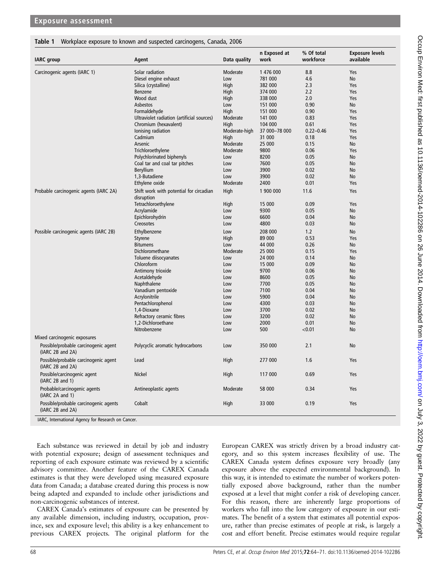#### <span id="page-4-0"></span>Table 1 Workplace exposure to known and suspected carcinogens, Canada, 2006

| <b>IARC</b> group                                         | Agent                                                 | Data quality  | n Exposed at<br>work | % Of total<br>workforce | <b>Exposure levels</b><br>available |
|-----------------------------------------------------------|-------------------------------------------------------|---------------|----------------------|-------------------------|-------------------------------------|
| Carcinogenic agents (IARC 1)                              | Solar radiation                                       | Moderate      | 1 476 000            | 8.8                     | Yes                                 |
|                                                           | Diesel engine exhaust                                 | Low           | 781 000              | 4.6                     | No                                  |
|                                                           | Silica (crystalline)                                  | High          | 382 000              | 2.3                     | Yes                                 |
|                                                           | Benzene                                               | High          | 374 000              | 2.2                     | Yes                                 |
|                                                           | Wood dust                                             | High          | 338 000              | 2.0                     | Yes                                 |
|                                                           | Asbestos                                              | Low           | 151 000              | 0.90                    | No                                  |
|                                                           | Formaldehyde                                          | High          | 151 000              | 0.90                    | Yes                                 |
|                                                           | Ultraviolet radiation (artificial sources)            | Moderate      | 141 000              | 0.83                    | Yes                                 |
|                                                           | Chromium (hexavalent)                                 | High          | 104 000              | 0.61                    | Yes                                 |
|                                                           | Ionising radiation                                    | Moderate-high | 37 000-78 000        | $0.22 - 0.46$           | Yes                                 |
|                                                           | Cadmium                                               | High          | 31 000               | 0.18                    | Yes                                 |
|                                                           | Arsenic                                               | Moderate      | 25 000               | 0.15                    | No                                  |
|                                                           | Trichloroethylene                                     | Moderate      | 9800                 | 0.06                    | Yes                                 |
|                                                           | Polychlorinated biphenyls                             | Low           | 8200                 | 0.05                    | No                                  |
|                                                           | Coal tar and coal tar pitches                         | Low           | 7600                 | 0.05                    | No                                  |
|                                                           | Beryllium                                             | Low           | 3900                 | 0.02                    | No                                  |
|                                                           | 1,3-Butadiene                                         | Low           | 3900                 | 0.02                    | No                                  |
|                                                           | Ethylene oxide                                        | Moderate      | 2400                 | 0.01                    | Yes                                 |
| Probable carcinogenic agents (IARC 2A)                    | Shift work with potential for circadian<br>disruption | High          | 1 900 000            | 11.6                    | Yes                                 |
|                                                           | Tetrachloroethylene                                   | High          | 15 000               | 0.09                    | Yes                                 |
|                                                           | Acrylamide                                            | Low           | 9300                 | 0.05                    | No                                  |
|                                                           | Epichlorohydrin                                       | Low           | 6600                 | 0.04                    | No                                  |
|                                                           | Creosotes                                             | Low           | 4800                 | 0.03                    | No                                  |
| Possible carcinogenic agents (IARC 2B)                    | Ethylbenzene                                          | Low           | 208 000              | 1.2                     | No                                  |
|                                                           | Styrene                                               |               | 89 000               | 0.53                    | Yes                                 |
|                                                           | <b>Bitumens</b>                                       | High<br>Low   |                      | 0.26                    |                                     |
|                                                           | Dichloromethane                                       | Moderate      | 44 000               | 0.15                    | No                                  |
|                                                           |                                                       |               | 25 000               |                         | Yes                                 |
|                                                           | Toluene diisocyanates                                 | Low           | 24 000               | 0.14                    | No                                  |
|                                                           | Chloroform                                            | Low           | 15 000               | 0.09                    | No                                  |
|                                                           | Antimony trioxide                                     | Low           | 9700                 | 0.06                    | No                                  |
|                                                           | Acetaldehyde                                          | Low           | 8600                 | 0.05                    | No                                  |
|                                                           | Naphthalene                                           | Low           | 7700                 | 0.05                    | No                                  |
|                                                           | Vanadium pentoxide                                    | Low           | 7100                 | 0.04                    | No                                  |
|                                                           | Acrylonitrile                                         | Low           | 5900                 | 0.04                    | No                                  |
|                                                           | Pentachlorophenol                                     | Low           | 4300                 | 0.03                    | No                                  |
|                                                           | 1,4-Dioxane                                           | Low           | 3700                 | 0.02                    | No                                  |
|                                                           | Refractory ceramic fibres                             | Low           | 3200                 | 0.02                    | No                                  |
|                                                           | 1,2-Dichloroethane                                    | Low           | 2000                 | 0.01                    | No                                  |
|                                                           | Nitrobenzene                                          | Low           | 500                  | < 0.01                  | No                                  |
| Mixed carcinogenic exposures                              |                                                       |               |                      |                         |                                     |
| Possible/probable carcinogenic agent<br>(IARC 2B and 2A)  | Polycyclic aromatic hydrocarbons                      | Low           | 350 000              | 2.1                     | No                                  |
| Possible/probable carcinogenic agent<br>( IARC 2B and 2A) | Lead                                                  | High          | 277 000              | 1.6                     | Yes                                 |
| Possible/carcinogenic agent<br>(IARC 2B and 1)            | <b>Nickel</b>                                         | High          | 117 000              | 0.69                    | Yes                                 |
| Probable/carcinogenic agents<br>(IARC 2A and 1)           | Antineoplastic agents                                 | Moderate      | 58 000               | 0.34                    | Yes                                 |
| Possible/probable carcinogenic agents<br>(IARC 2B and 2A) | Cobalt                                                | High          | 33 000               | 0.19                    | Yes                                 |
| IARC, International Agency for Research on Cancer.        |                                                       |               |                      |                         |                                     |

Each substance was reviewed in detail by job and industry with potential exposure; design of assessment techniques and reporting of each exposure estimate was reviewed by a scientific advisory committee. Another feature of the CAREX Canada estimates is that they were developed using measured exposure data from Canada; a database created during this process is now being adapted and expanded to include other jurisdictions and non-carcinogenic substances of interest.

CAREX Canada's estimates of exposure can be presented by any available dimension, including industry, occupation, province, sex and exposure level; this ability is a key enhancement to previous CAREX projects. The original platform for the

European CAREX was strictly driven by a broad industry category, and so this system increases flexibility of use. The CAREX Canada system defines exposure very broadly (any exposure above the expected environmental background). In this way, it is intended to estimate the number of workers potentially exposed above background, rather than the number exposed at a level that might confer a risk of developing cancer. For this reason, there are inherently large proportions of workers who fall into the low category of exposure in our estimates. The benefit of a system that estimates all potential exposure, rather than precise estimates of people at risk, is largely a cost and effort benefit. Precise estimates would require regular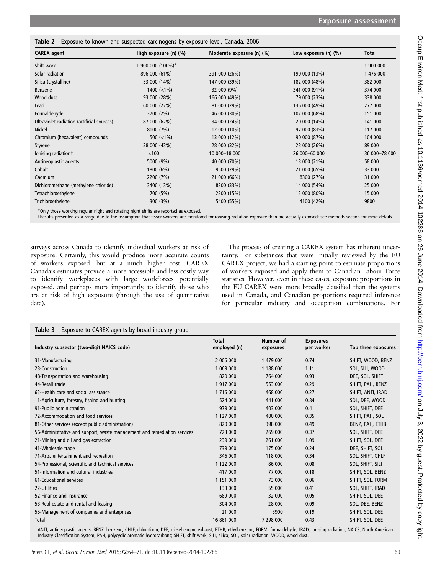<span id="page-5-0"></span>Table 2 Exposure to known and suspected carcinogens by exposure level, Canada, 2006

| <b>CAREX</b> agent                         | High exposure (n) (%) | Moderate exposure (n) (%) | Low exposure (n) (%) | <b>Total</b>  |
|--------------------------------------------|-----------------------|---------------------------|----------------------|---------------|
| Shift work                                 | 1 900 000 (100%)*     |                           |                      | 1 900 000     |
| Solar radiation                            | 896 000 (61%)         | 391 000 (26%)             | 190 000 (13%)        | 1 476 000     |
| Silica (crystalline)                       | 53 000 (14%)          | 147 000 (39%)             | 182 000 (48%)        | 382 000       |
| Benzene                                    | 1400 $(<1\%)$         | 32 000 (9%)               | 341 000 (91%)        | 374 000       |
| Wood dust                                  | 93 000 (28%)          | 166 000 (49%)             | 79 000 (23%)         | 338 000       |
| Lead                                       | 60 000 (22%)          | 81 000 (29%)              | 136 000 (49%)        | 277 000       |
| Formaldehyde                               | 3700 (2%)             | 46 000 (30%)              | 102 000 (68%)        | 151 000       |
| Ultraviolet radiation (artificial sources) | 87 000 (62%)          | 34 000 (24%)              | 20 000 (14%)         | 141 000       |
| Nickel                                     | 8100 (7%)             | 12 000 (10%)              | 97 000 (83%)         | 117 000       |
| Chromium (hexavalent) compounds            | 500 $(<1\%)$          | 13 000 (12%)              | 90 000 (87%)         | 104 000       |
| <b>Styrene</b>                             | 38 000 (43%)          | 28 000 (32%)              | 23 000 (26%)         | 89 000        |
| lonising radiationt                        | < 100                 | 10 000-18 000             | 26 000-60 000        | 36 000-78 000 |
| Antineoplastic agents                      | 5000 (9%)             | 40 000 (70%)              | 13 000 (21%)         | 58 000        |
| Cobalt                                     | 1800 (6%)             | 9500 (29%)                | 21 000 (65%)         | 33 000        |
| Cadmium                                    | 2200 (7%)             | 21 000 (66%)              | 8300 (27%)           | 31 000        |
| Dichloromethane (methylene chloride)       | 3400 (13%)            | 8300 (33%)                | 14 000 (54%)         | 25 000        |
| Tetrachloroethylene                        | 700 (5%)              | 2200 (15%)                | 12 000 (80%)         | 15 000        |
| Trichloroethylene                          | 300 (3%)              | 5400 (55%)                | 4100 (42%)           | 9800          |

\*Only those working regular night and rotating night shifts are reported as exposed.

†Results presented as a range due to the assumption that fewer workers are monitored for ionising radiation exposure than are actually exposed; see methods section for more details.

surveys across Canada to identify individual workers at risk of exposure. Certainly, this would produce more accurate counts of workers exposed, but at a much higher cost. CAREX Canada's estimates provide a more accessible and less costly way to identify workplaces with large workforces potentially exposed, and perhaps more importantly, to identify those who are at risk of high exposure (through the use of quantitative data).

The process of creating a CAREX system has inherent uncertainty. For substances that were initially reviewed by the EU CAREX project, we had a starting point to estimate proportions of workers exposed and apply them to Canadian Labour Force statistics. However, even in these cases, exposure proportions in the EU CAREX were more broadly classified than the systems used in Canada, and Canadian proportions required inference for particular industry and occupation combinations. For

#### Table 3 Exposure to CAREX agents by broad industry group

| Industry subsector (two-digit NAICS code)                                | <b>Total</b><br>employed (n) | Number of<br>exposures | <b>Exposures</b><br>per worker | Top three exposures |
|--------------------------------------------------------------------------|------------------------------|------------------------|--------------------------------|---------------------|
| 31-Manufacturing                                                         | 2 006 000                    | 1 479 000              | 0.74                           | SHIFT, WOOD, BENZ   |
| 23-Construction                                                          | 1 069 000                    | 1 188 000              | 1.11                           | SOL, SILI, WOOD     |
|                                                                          | 820 000                      | 764 000                | 0.93                           | DEE, SOL, SHIFT     |
| 48-Transportation and warehousing                                        |                              |                        |                                |                     |
| 44-Retail trade                                                          | 1 917 000                    | 553 000                | 0.29                           | SHIFT, PAH, BENZ    |
| 62-Health care and social assistance                                     | 1 716 000                    | 468 000                | 0.27                           | SHIFT, ANTI, IRAD   |
| 11-Agriculture, forestry, fishing and hunting                            | 524 000                      | 441 000                | 0.84                           | SOL, DEE, WOOD      |
| 91-Public administration                                                 | 979 000                      | 403 000                | 0.41                           | SOL, SHIFT, DEE     |
| 72-Accommodation and food services                                       | 1 127 000                    | 400 000                | 0.35                           | SHIFT, PAH, SOL     |
| 81-Other services (except public administration)                         | 820 000                      | 398 000                | 0.49                           | BENZ, PAH, ETHB     |
| 56-Administrative and support, waste management and remediation services | 723 000                      | 269 000                | 0.37                           | SOL, SHIFT, DEE     |
| 21-Mining and oil and gas extraction                                     | 239 000                      | 261 000                | 1.09                           | SHIFT, SOL, DEE     |
| 41-Wholesale trade                                                       | 739 000                      | 175 000                | 0.24                           | DEE, SHIFT, SOL     |
| 71-Arts, entertainment and recreation                                    | 346 000                      | 118 000                | 0.34                           | SOL, SHIFT, CHLF    |
| 54-Professional, scientific and technical services                       | 1 122 000                    | 86 000                 | 0.08                           | SOL, SHIFT, SILI    |
| 51-Information and cultural industries                                   | 417 000                      | 77 000                 | 0.18                           | SHIFT, SOL, BENZ    |
| 61-Educational services                                                  | 1 1 5 1 0 0 0                | 73 000                 | 0.06                           | SHIFT, SOL, FORM    |
| 22-Utilities                                                             | 133 000                      | 55 000                 | 0.41                           | SOL, SHIFT, IRAD    |
| 52-Finance and insurance                                                 | 689 000                      | 32 000                 | 0.05                           | SHIFT, SOL, DEE     |
| 53-Real estate and rental and leasing                                    | 304 000                      | 28 000                 | 0.09                           | SOL, DEE, BENZ      |
| 55-Management of companies and enterprises                               | 21 000                       | 3900                   | 0.19                           | SHIFT, SOL, DEE     |
| Total                                                                    | 16 861 000                   | 7 298 000              | 0.43                           | SHIFT, SOL, DEE     |

ANTI, antineoplastic agents; BENZ, benzene; CHLF, chloroform; DEE, diesel engine exhaust; ETHB, ethylbenzene; FORM, formaldehyde; IRAD, ionising radiation; NAICS, North American Industry Classification System; PAH, polycyclic aromatic hydrocarbons; SHIFT, shift work; SILI, silica; SOL, solar radiation; WOOD, wood dust.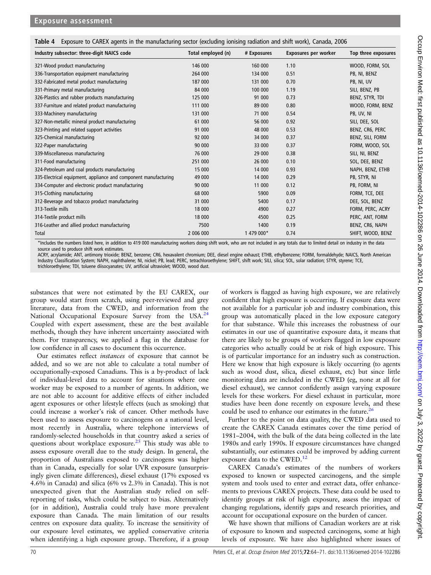<span id="page-6-0"></span>

| Exposure to CAREX agents in the manufacturing sector (excluding ionising radiation and shift work), Canada, 2006<br>Table 4 |                    |             |                      |                     |  |  |
|-----------------------------------------------------------------------------------------------------------------------------|--------------------|-------------|----------------------|---------------------|--|--|
| Industry subsector: three-digit NAICS code                                                                                  | Total employed (n) | # Exposures | Exposures per worker | Top three exposures |  |  |
| 321-Wood product manufacturing                                                                                              | 146 000            | 160 000     | 1.10                 | WOOD, FORM, SOL     |  |  |
| 336-Transportation equipment manufacturing                                                                                  | 264 000            | 134 000     | 0.51                 | PB, NI, BENZ        |  |  |
| 332-Fabricated metal product manufacturing                                                                                  | 187 000            | 131 000     | 0.70                 | PB, NI, UV          |  |  |
| 331-Primary metal manufacturing                                                                                             | 84 000             | 100 000     | 1.19                 | SILI, BENZ, PB      |  |  |
| 326-Plastics and rubber products manufacturing                                                                              | 125 000            | 91 000      | 0.73                 | BENZ, STYR, TDI     |  |  |
| 337-Furniture and related product manufacturing                                                                             | 111 000            | 89 000      | 0.80                 | WOOD, FORM, BENZ    |  |  |
| 333-Machinery manufacturing                                                                                                 | 131 000            | 71 000      | 0.54                 | PB, UV, NI          |  |  |
| 327-Non-metallic mineral product manufacturing                                                                              | 61 000             | 56 000      | 0.92                 | SILI, DEE, SOL      |  |  |
| 323-Printing and related support activities                                                                                 | 91 000             | 48 000      | 0.53                 | BENZ, CR6, PERC     |  |  |
| 325-Chemical manufacturing                                                                                                  | 92 000             | 34 000      | 0.37                 | BENZ, SILI, FORM    |  |  |
| 322-Paper manufacturing                                                                                                     | 90 000             | 33 000      | 0.37                 | FORM, WOOD, SOL     |  |  |
| 339-Miscellaneous manufacturing                                                                                             | 76 000             | 29 000      | 0.38                 | SILI, NI, BENZ      |  |  |
| 311-Food manufacturing                                                                                                      | 251 000            | 26 000      | 0.10                 | SOL, DEE, BENZ      |  |  |
| 324-Petroleum and coal products manufacturing                                                                               | 15 000             | 14 000      | 0.93                 | NAPH, BENZ, ETHB    |  |  |
| 335-Electrical equipment, appliance and component manufacturing                                                             | 49 000             | 14 000      | 0.29                 | PB, STYR, NI        |  |  |
| 334-Computer and electronic product manufacturing                                                                           | 90 000             | 11 000      | 0.12                 | PB, FORM, NI        |  |  |
| 315-Clothing manufacturing                                                                                                  | 68 000             | 5900        | 0.09                 | FORM, TCE, DEE      |  |  |
| 312-Beverage and tobacco product manufacturing                                                                              | 31 000             | 5400        | 0.17                 | DEE, SOL, BENZ      |  |  |
| 313-Textile mills                                                                                                           | 18 000             | 4900        | 0.27                 | FORM, PERC, ACRY    |  |  |
| 314-Textile product mills                                                                                                   | 18 000             | 4500        | 0.25                 | PERC, ANT, FORM     |  |  |
| 316-Leather and allied product manufacturing                                                                                | 7500               | 1400        | 0.19                 | BENZ, CR6, NAPH     |  |  |
| Total                                                                                                                       | 2 006 000          | 1 479 000*  | 0.74                 | SHIFT, WOOD, BENZ   |  |  |

\*Includes the numbers listed here, in addition to 419 000 manufacturing workers doing shift work, who are not included in any totals due to limited detail on industry in the data source used to produce shift work estimates.

ACRY, acrylamide; ANT, antimony trioxide; BENZ, benzene; CR6, hexavalent chromium; DEE, diesel engine exhaust; ETHB, ethylbenzene; FORM, formaldehyde; NAICS, North American Industry Classification System; NAPH, naphthalene; NI, nickel; PB, lead; PERC, tetrachloroethylene; SHIFT, shift work; SILI, silica; SOL, solar radiation; STYR, styrene; TCE, trichloroethylene; TDI, toluene diisocyanates; UV, artificial ultraviolet; WOOD, wood dust.

substances that were not estimated by the EU CAREX, our group would start from scratch, using peer-reviewed and grey literature, data from the CWED, and information from the National Occupational Exposure Survey from the USA.<sup>24</sup> Coupled with expert assessment, these are the best available methods, though they have inherent uncertainty associated with them. For transparency, we applied a flag in the database for low confidence in all cases to document this occurrence.

Our estimates reflect instances of exposure that cannot be added, and so we are not able to calculate a total number of occupationally-exposed Canadians. This is a by-product of lack of individual-level data to account for situations where one worker may be exposed to a number of agents. In addition, we are not able to account for additive effects of either included agent exposures or other lifestyle effects (such as smoking) that could increase a worker's risk of cancer. Other methods have been used to assess exposure to carcinogens on a national level, most recently in Australia, where telephone interviews of randomly-selected households in that country asked a series of questions about workplace exposure. $25$  This study was able to assess exposure overall due to the study design. In general, the proportion of Australians exposed to carcinogens was higher than in Canada, especially for solar UVR exposure (unsurprisingly given climate differences), diesel exhaust (17% exposed vs 4.6% in Canada) and silica (6% vs 2.3% in Canada). This is not unexpected given that the Australian study relied on selfreporting of tasks, which could be subject to bias. Alternatively (or in addition), Australia could truly have more prevalent exposure than Canada. The main limitation of our results centres on exposure data quality. To increase the sensitivity of our exposure level estimates, we applied conservative criteria when identifying a high exposure group. Therefore, if a group

of workers is flagged as having high exposure, we are relatively confident that high exposure is occurring. If exposure data were not available for a particular job and industry combination, this group was automatically placed in the low exposure category for that substance. While this increases the robustness of our estimates in our use of quantitative exposure data, it means that there are likely to be groups of workers flagged in low exposure categories who actually could be at risk of high exposure. This is of particular importance for an industry such as construction. Here we know that high exposure is likely occurring (to agents such as wood dust, silica, diesel exhaust, etc) but since little monitoring data are included in the CWED (eg, none at all for diesel exhaust), we cannot confidently assign varying exposure levels for these workers. For diesel exhaust in particular, more studies have been done recently on exposure levels, and these could be used to enhance our estimates in the future.<sup>[26](#page-7-0)</sup>

Further to the point on data quality, the CWED data used to create the CAREX Canada estimates cover the time period of 1981–2004, with the bulk of the data being collected in the late 1980s and early 1990s. If exposure circumstances have changed substantially, our estimates could be improved by adding current exposure data to the CWED.<sup>[12](#page-7-0)</sup>

CAREX Canada's estimates of the numbers of workers exposed to known or suspected carcinogens, and the simple system and tools used to enter and extract data, offer enhancements to previous CAREX projects. These data could be used to identify groups at risk of high exposure, assess the impact of changing regulations, identify gaps and research priorities, and account for occupational exposure on the burden of cancer.

We have shown that millions of Canadian workers are at risk of exposure to known and suspected carcinogens, some at high levels of exposure. We have also highlighted where issues of